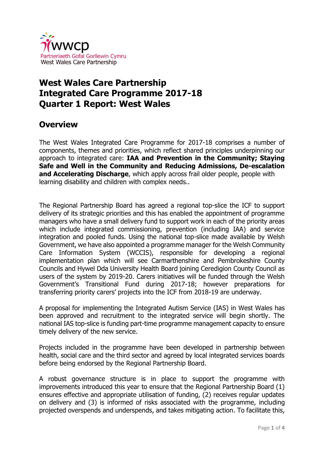

## **West Wales Care Partnership Integrated Care Programme 2017-18 Quarter 1 Report: West Wales**

## **Overview**

The West Wales Integrated Care Programme for 2017-18 comprises a number of components, themes and priorities, which reflect shared principles underpinning our approach to integrated care: **IAA and Prevention in the Community; Staying Safe and Well in the Community and Reducing Admissions, De-escalation and Accelerating Discharge**, which apply across frail older people, people with learning disability and children with complex needs..

The Regional Partnership Board has agreed a regional top-slice the ICF to support delivery of its strategic priorities and this has enabled the appointment of programme managers who have a small delivery fund to support work in each of the priority areas which include integrated commissioning, prevention (including IAA) and service integration and pooled funds. Using the national top-slice made available by Welsh Government, we have also appointed a programme manager for the Welsh Community Care Information System (WCCIS), responsible for developing a regional implementation plan which will see Carmarthenshire and Pembrokeshire County Councils and Hywel Dda University Health Board joining Ceredigion County Council as users of the system by 2019-20. Carers initiatives will be funded through the Welsh Government's Transitional Fund during 2017-18; however preparations for transferring priority carers' projects into the ICF from 2018-19 are underway.

A proposal for implementing the Integrated Autism Service (IAS) in West Wales has been approved and recruitment to the integrated service will begin shortly. The national IAS top-slice is funding part-time programme management capacity to ensure timely delivery of the new service.

Projects included in the programme have been developed in partnership between health, social care and the third sector and agreed by local integrated services boards before being endorsed by the Regional Partnership Board.

A robust governance structure is in place to support the programme with improvements introduced this year to ensure that the Regional Partnership Board (1) ensures effective and appropriate utilisation of funding, (2) receives regular updates on delivery and (3) is informed of risks associated with the programme, including projected overspends and underspends, and takes mitigating action. To facilitate this,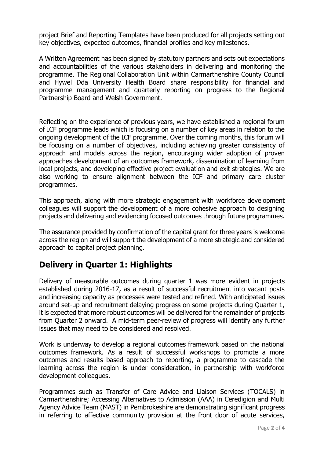project Brief and Reporting Templates have been produced for all projects setting out key objectives, expected outcomes, financial profiles and key milestones.

A Written Agreement has been signed by statutory partners and sets out expectations and accountabilities of the various stakeholders in delivering and monitoring the programme. The Regional Collaboration Unit within Carmarthenshire County Council and Hywel Dda University Health Board share responsibility for financial and programme management and quarterly reporting on progress to the Regional Partnership Board and Welsh Government.

Reflecting on the experience of previous years, we have established a regional forum of ICF programme leads which is focusing on a number of key areas in relation to the ongoing development of the ICF programme. Over the coming months, this forum will be focusing on a number of objectives, including achieving greater consistency of approach and models across the region, encouraging wider adoption of proven approaches development of an outcomes framework, dissemination of learning from local projects, and developing effective project evaluation and exit strategies. We are also working to ensure alignment between the ICF and primary care cluster programmes.

This approach, along with more strategic engagement with workforce development colleagues will support the development of a more cohesive approach to designing projects and delivering and evidencing focused outcomes through future programmes.

The assurance provided by confirmation of the capital grant for three years is welcome across the region and will support the development of a more strategic and considered approach to capital project planning.

## **Delivery in Quarter 1: Highlights**

Delivery of measurable outcomes during quarter 1 was more evident in projects established during 2016-17, as a result of successful recruitment into vacant posts and increasing capacity as processes were tested and refined. With anticipated issues around set-up and recruitment delaying progress on some projects during Quarter 1, it is expected that more robust outcomes will be delivered for the remainder of projects from Quarter 2 onward. A mid-term peer-review of progress will identify any further issues that may need to be considered and resolved.

Work is underway to develop a regional outcomes framework based on the national outcomes framework. As a result of successful workshops to promote a more outcomes and results based approach to reporting, a programme to cascade the learning across the region is under consideration, in partnership with workforce development colleagues.

Programmes such as Transfer of Care Advice and Liaison Services (TOCALS) in Carmarthenshire; Accessing Alternatives to Admission (AAA) in Ceredigion and Multi Agency Advice Team (MAST) in Pembrokeshire are demonstrating significant progress in referring to affective community provision at the front door of acute services,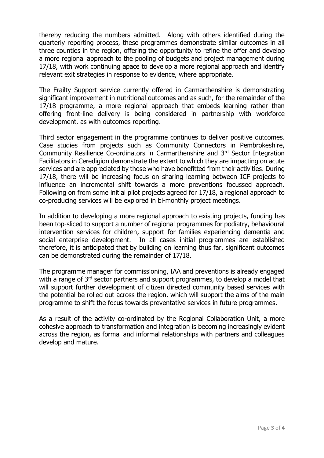thereby reducing the numbers admitted. Along with others identified during the quarterly reporting process, these programmes demonstrate similar outcomes in all three counties in the region, offering the opportunity to refine the offer and develop a more regional approach to the pooling of budgets and project management during 17/18, with work continuing apace to develop a more regional approach and identify relevant exit strategies in response to evidence, where appropriate.

The Frailty Support service currently offered in Carmarthenshire is demonstrating significant improvement in nutritional outcomes and as such, for the remainder of the 17/18 programme, a more regional approach that embeds learning rather than offering front-line delivery is being considered in partnership with workforce development, as with outcomes reporting.

Third sector engagement in the programme continues to deliver positive outcomes. Case studies from projects such as Community Connectors in Pembrokeshire, Community Resilience Co-ordinators in Carmarthenshire and 3rd Sector Integration Facilitators in Ceredigion demonstrate the extent to which they are impacting on acute services and are appreciated by those who have benefitted from their activities. During 17/18, there will be increasing focus on sharing learning between ICF projects to influence an incremental shift towards a more preventions focussed approach. Following on from some initial pilot projects agreed for 17/18, a regional approach to co-producing services will be explored in bi-monthly project meetings.

In addition to developing a more regional approach to existing projects, funding has been top-sliced to support a number of regional programmes for podiatry, behavioural intervention services for children, support for families experiencing dementia and social enterprise development. In all cases initial programmes are established therefore, it is anticipated that by building on learning thus far, significant outcomes can be demonstrated during the remainder of 17/18.

The programme manager for commissioning, IAA and preventions is already engaged with a range of 3<sup>rd</sup> sector partners and support programmes, to develop a model that will support further development of citizen directed community based services with the potential be rolled out across the region, which will support the aims of the main programme to shift the focus towards preventative services in future programmes.

As a result of the activity co-ordinated by the Regional Collaboration Unit, a more cohesive approach to transformation and integration is becoming increasingly evident across the region, as formal and informal relationships with partners and colleagues develop and mature.